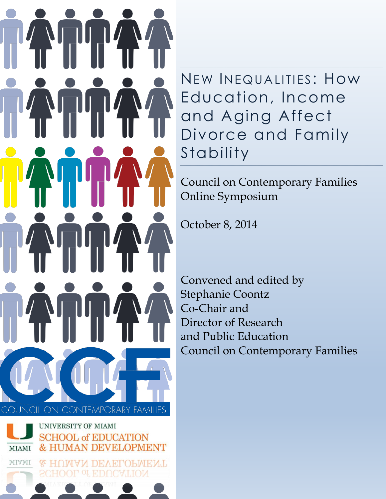

NEW INEQ UALITIES : How Education, Income and Aging Affect Divorce and Family Stability

Council on Contemporary Families Online Symposium

October 8, 2014

Convened and edited by Stephanie Coontz Co-Chair and Director of Research and Public Education Council on Contemporary Families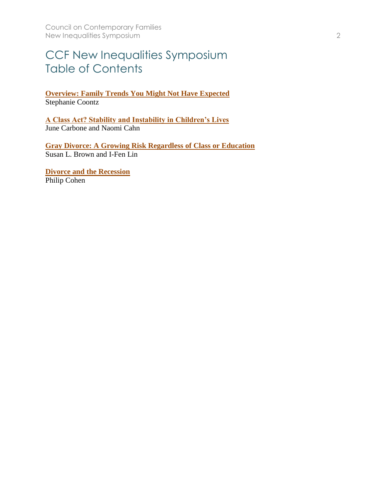## CCF New Inequalities Symposium Table of Contents

**[Overview: Family Trends You Might Not Have Expected](#page-2-0)** Stephanie Coontz

**[A Class Act? Stability and Instability in Children's Lives](#page-5-0)** June Carbone and Naomi Cahn

**[Gray Divorce: A Growing Risk Regardless of Class or Education](#page-9-0)** Susan L. Brown and I-Fen Lin

**[Divorce and the Recession](#page-13-0)** Philip Cohen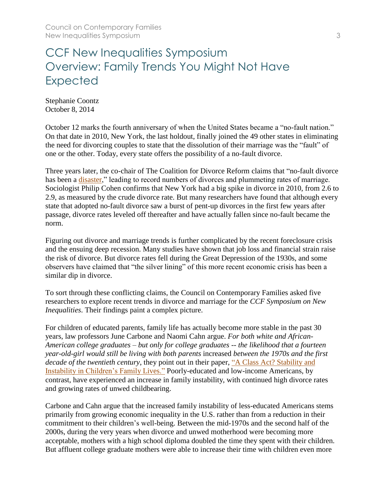### <span id="page-2-0"></span>CCF New Inequalities Symposium Overview: Family Trends You Might Not Have Expected

Stephanie Coontz October 8, 2014

October 12 marks the fourth anniversary of when the United States became a "no-fault nation." On that date in 2010, New York, the last holdout, finally joined the 49 other states in eliminating the need for divorcing couples to state that the dissolution of their marriage was the "fault" of one or the other. Today, every state offers the possibility of a no-fault divorce.

Three years later, the co-chair of The Coalition for Divorce Reform claims that "no-fault divorce has been a *disaster*," leading to record numbers of divorces and plummeting rates of marriage. Sociologist Philip Cohen confirms that New York had a big spike in divorce in 2010, from 2.6 to 2.9, as measured by the crude divorce rate. But many researchers have found that although every state that adopted no-fault divorce saw a burst of pent-up divorces in the first few years after passage, divorce rates leveled off thereafter and have actually fallen since no-fault became the norm.

Figuring out divorce and marriage trends is further complicated by the recent foreclosure crisis and the ensuing deep recession. Many studies have shown that job loss and financial strain raise the risk of divorce. But divorce rates fell during the Great Depression of the 1930s, and some observers have claimed that "the silver lining" of this more recent economic crisis has been a similar dip in divorce.

To sort through these conflicting claims, the Council on Contemporary Families asked five researchers to explore recent trends in divorce and marriage for the *CCF Symposium on New Inequalities*. Their findings paint a complex picture.

For children of educated parents, family life has actually become more stable in the past 30 years, law professors June Carbone and Naomi Cahn argue. *For both white and African-American college graduates – but only for college graduates -- the likelihood that a fourteen year-old-girl would still be living with both parents* increased *between the 1970s and the first decade of the twentieth century*, they point out in their paper, ["A Class Act? Stability and](https://contemporaryfamilies.org/stability-instability-brief-report/)  [Instability in Children's Family Lives."](https://contemporaryfamilies.org/stability-instability-brief-report/) Poorly-educated and low-income Americans, by contrast, have experienced an increase in family instability, with continued high divorce rates and growing rates of unwed childbearing.

Carbone and Cahn argue that the increased family instability of less-educated Americans stems primarily from growing economic inequality in the U.S. rather than from a reduction in their commitment to their children's well-being. Between the mid-1970s and the second half of the 2000s, during the very years when divorce and unwed motherhood were becoming more acceptable, mothers with a high school diploma doubled the time they spent with their children. But affluent college graduate mothers were able to increase their time with children even more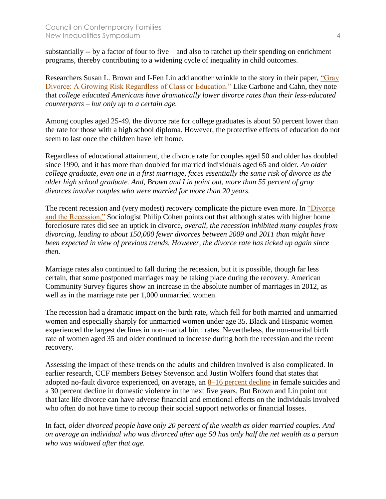substantially -- by a factor of four to five – and also to ratchet up their spending on enrichment programs, thereby contributing to a widening cycle of inequality in child outcomes.

Researchers Susan L. Brown and I-Fen Lin add another wrinkle to the story in their paper, ["Gray](https://contemporaryfamilies.org/growing-risk-brief-report/)  [Divorce: A Growing Risk Regardless of Class or Education."](https://contemporaryfamilies.org/growing-risk-brief-report/) Like Carbone and Cahn, they note that *college educated Americans have dramatically lower divorce rates than their less-educated counterparts – but only up to a certain age.* 

Among couples aged 25-49, the divorce rate for college graduates is about 50 percent lower than the rate for those with a high school diploma. However, the protective effects of education do not seem to last once the children have left home.

Regardless of educational attainment, the divorce rate for couples aged 50 and older has doubled since 1990, and it has more than doubled for married individuals aged 65 and older. *An older college graduate, even one in a first marriage, faces essentially the same risk of divorce as the older high school graduate. And, Brown and Lin point out, more than 55 percent of gray divorces involve couples who were married for more than 20 years.*

The recent recession and (very modest) recovery complicate the picture even more. In ["Divorce](https://contemporaryfamilies.org/divorce-recession-brief-report/)  [and the Recession,"](https://contemporaryfamilies.org/divorce-recession-brief-report/) Sociologist Philip Cohen points out that although states with higher home foreclosure rates did see an uptick in divorce, *overall, the recession inhibited many couples from divorcing, leading to about 150,000 fewer divorces between 2009 and 2011 than might have been expected in view of previous trends. However, the divorce rate has ticked up again since then.*

Marriage rates also continued to fall during the recession, but it is possible, though far less certain, that some postponed marriages may be taking place during the recovery. American Community Survey figures show an increase in the absolute number of marriages in 2012, as well as in the marriage rate per 1,000 unmarried women.

The recession had a dramatic impact on the birth rate, which fell for both married and unmarried women and especially sharply for unmarried women under age 35. Black and Hispanic women experienced the largest declines in non-marital birth rates. Nevertheless, the non-marital birth rate of women aged 35 and older continued to increase during both the recession and the recent recovery.

Assessing the impact of these trends on the adults and children involved is also complicated. In earlier research, CCF members Betsey Stevenson and Justin Wolfers found that states that adopted no-fault divorce experienced, on average, an [8–16 percent decline](http://qje.oxfordjournals.org/content/121/1/267.abstract) in female suicides and a 30 percent decline in domestic violence in the next five years. But Brown and Lin point out that late life divorce can have adverse financial and emotional effects on the individuals involved who often do not have time to recoup their social support networks or financial losses.

In fact, *older divorced people have only 20 percent of the wealth as older married couples. And on average an individual who was divorced after age 50 has only half the net wealth as a person who was widowed after that age.*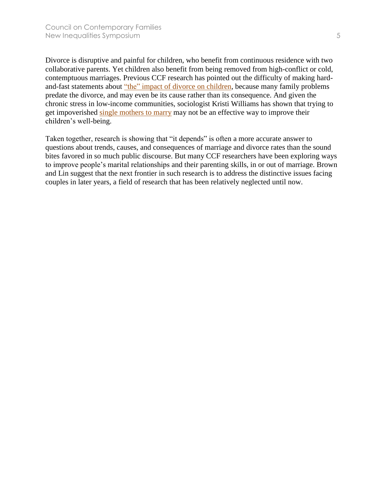Divorce is disruptive and painful for children, who benefit from continuous residence with two collaborative parents. Yet children also benefit from being removed from high-conflict or cold, contemptuous marriages. Previous CCF research has pointed out the difficulty of making hardand-fast statements about ["the" impact of divorce on children,](https://contemporaryfamilies.org/impact-divorce-childrens-behavior-problems/) because many family problems predate the divorce, and may even be its cause rather than its consequence. And given the chronic stress in low-income communities, sociologist Kristi Williams has shown that trying to get impoverished [single mothers to marry](https://contemporaryfamilies.org/marriage-ineffective-in-war-on-poverty-report/) may not be an effective way to improve their children's well-being.

Taken together, research is showing that "it depends" is often a more accurate answer to questions about trends, causes, and consequences of marriage and divorce rates than the sound bites favored in so much public discourse. But many CCF researchers have been exploring ways to improve people's marital relationships and their parenting skills, in or out of marriage. Brown and Lin suggest that the next frontier in such research is to address the distinctive issues facing couples in later years, a field of research that has been relatively neglected until now.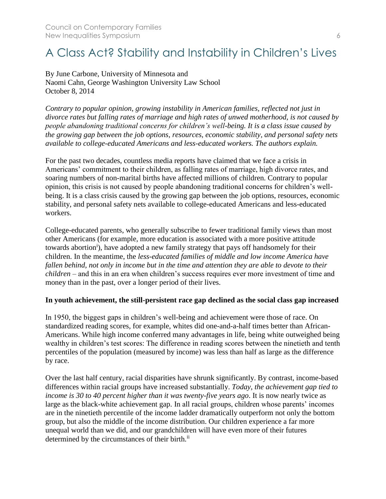## <span id="page-5-0"></span>A Class Act? Stability and Instability in Children's Lives

By June Carbone, University of Minnesota and Naomi Cahn, George Washington University Law School October 8, 2014

*Contrary to popular opinion, growing instability in American families, reflected not just in divorce rates but falling rates of marriage and high rates of unwed motherhood, is not caused by people abandoning traditional concerns for children's well-being. It is a class issue caused by the growing gap between the job options, resources, economic stability, and personal safety nets available to college-educated Americans and less-educated workers. The authors explain.*

For the past two decades, countless media reports have claimed that we face a crisis in Americans' commitment to their children, as falling rates of marriage, high divorce rates, and soaring numbers of non-marital births have affected millions of children. Contrary to popular opinion, this crisis is not caused by people abandoning traditional concerns for children's wellbeing. It is a class crisis caused by the growing gap between the job options, resources, economic stability, and personal safety nets available to college-educated Americans and less-educated workers.

College-educated parents, who generally subscribe to fewer traditional family views than most other Americans (for example, more education is associated with a more positive attitude towards abortion<sup>i</sup>), have adopted a new family strategy that pays off handsomely for their children. In the meantime, the *less-educated families of middle and low income America have fallen behind, not only in income but in the time and attention they are able to devote to their children* – and this in an era when children's success requires ever more investment of time and money than in the past, over a longer period of their lives.

#### **In youth achievement, the still-persistent race gap declined as the social class gap increased**

In 1950, the biggest gaps in children's well-being and achievement were those of race. On standardized reading scores, for example, whites did one-and-a-half times better than African-Americans. While high income conferred many advantages in life, being white outweighed being wealthy in children's test scores: The difference in reading scores between the ninetieth and tenth percentiles of the population (measured by income) was less than half as large as the difference by race.

Over the last half century, racial disparities have shrunk significantly. By contrast, income-based differences within racial groups have increased substantially. *Today, the achievement gap tied to income is 30 to 40 percent higher than it was twenty-five years ago*. It is now nearly twice as large as the black-white achievement gap. In all racial groups, children whose parents' incomes are in the ninetieth percentile of the income ladder dramatically outperform not only the bottom group, but also the middle of the income distribution. Our children experience a far more unequal world than we did, and our grandchildren will have even more of their futures determined by the circumstances of their birth.<sup>ii</sup>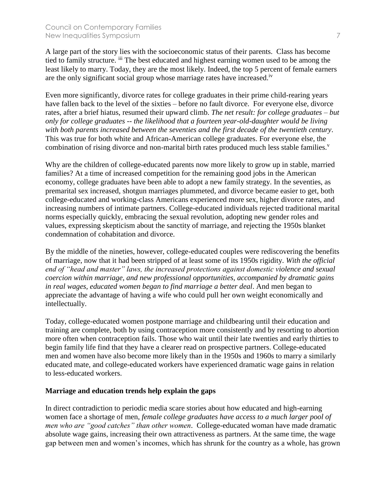A large part of the story lies with the socioeconomic status of their parents. Class has become tied to family structure. <sup>iii</sup> The best educated and highest earning women used to be among the least likely to marry. Today, they are the most likely. Indeed, the top 5 percent of female earners are the only significant social group whose marriage rates have increased.<sup>iv</sup>

Even more significantly, divorce rates for college graduates in their prime child-rearing years have fallen back to the level of the sixties – before no fault divorce. For everyone else, divorce rates, after a brief hiatus, resumed their upward climb. *The net result: for college graduates – but only for college graduates -- the likelihood that a fourteen year-old-daughter would be living with both parents increased between the seventies and the first decade of the twentieth century*. This was true for both white and African-American college graduates. For everyone else, the combination of rising divorce and non-marital birth rates produced much less stable families.<sup>v</sup>

Why are the children of college-educated parents now more likely to grow up in stable, married families? At a time of increased competition for the remaining good jobs in the American economy, college graduates have been able to adopt a new family strategy. In the seventies, as premarital sex increased, shotgun marriages plummeted, and divorce became easier to get, both college-educated and working-class Americans experienced more sex, higher divorce rates, and increasing numbers of intimate partners. College-educated individuals rejected traditional marital norms especially quickly, embracing the sexual revolution, adopting new gender roles and values, expressing skepticism about the sanctity of marriage, and rejecting the 1950s blanket condemnation of cohabitation and divorce.

By the middle of the nineties, however, college-educated couples were rediscovering the benefits of marriage, now that it had been stripped of at least some of its 1950s rigidity. *With the official end of "head and master" laws, the increased protections against domestic violence and sexual coercion within marriage, and new professional opportunities, accompanied by dramatic gains in real wages, educated women began to find marriage a better deal*. And men began to appreciate the advantage of having a wife who could pull her own weight economically and intellectually.

Today, college-educated women postpone marriage and childbearing until their education and training are complete, both by using contraception more consistently and by resorting to abortion more often when contraception fails. Those who wait until their late twenties and early thirties to begin family life find that they have a clearer read on prospective partners. College-educated men and women have also become more likely than in the 1950s and 1960s to marry a similarly educated mate, and college-educated workers have experienced dramatic wage gains in relation to less-educated workers.

#### **Marriage and education trends help explain the gaps**

In direct contradiction to periodic media scare stories about how educated and high-earning women face a shortage of men, *female college graduates have access to a much larger pool of men who are "good catches" than other women*. College-educated woman have made dramatic absolute wage gains, increasing their own attractiveness as partners. At the same time, the wage gap between men and women's incomes, which has shrunk for the country as a whole, has grown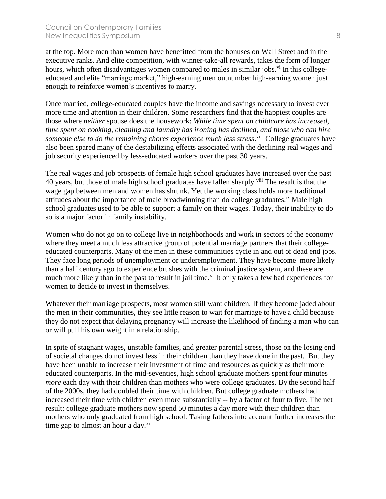#### Council on Contemporary Families New Inequalities Symposium 8

at the top. More men than women have benefitted from the bonuses on Wall Street and in the executive ranks. And elite competition, with winner-take-all rewards, takes the form of longer hours, which often disadvantages women compared to males in similar jobs.<sup>vi</sup> In this collegeeducated and elite "marriage market," high-earning men outnumber high-earning women just enough to reinforce women's incentives to marry.

Once married, college-educated couples have the income and savings necessary to invest ever more time and attention in their children. Some researchers find that the happiest couples are those where *neither* spouse does the housework: *While time spent on childcare has increased, time spent on cooking, cleaning and laundry has ironing has declined, and those who can hire*  someone else to do the remaining chores experience much less stress.<sup>vii</sup> College graduates have also been spared many of the destabilizing effects associated with the declining real wages and job security experienced by less-educated workers over the past 30 years.

The real wages and job prospects of female high school graduates have increased over the past 40 years, but those of male high school graduates have fallen sharply.<sup>viii</sup> The result is that the wage gap between men and women has shrunk. Yet the working class holds more traditional attitudes about the importance of male breadwinning than do college graduates.<sup>ix</sup> Male high school graduates used to be able to support a family on their wages. Today, their inability to do so is a major factor in family instability.

Women who do not go on to college live in neighborhoods and work in sectors of the economy where they meet a much less attractive group of potential marriage partners that their collegeeducated counterparts. Many of the men in these communities cycle in and out of dead end jobs. They face long periods of unemployment or underemployment. They have become more likely than a half century ago to experience brushes with the criminal justice system, and these are much more likely than in the past to result in jail time.<sup>x</sup> It only takes a few bad experiences for women to decide to invest in themselves.

Whatever their marriage prospects, most women still want children. If they become jaded about the men in their communities, they see little reason to wait for marriage to have a child because they do not expect that delaying pregnancy will increase the likelihood of finding a man who can or will pull his own weight in a relationship.

In spite of stagnant wages, unstable families, and greater parental stress, those on the losing end of societal changes do not invest less in their children than they have done in the past. But they have been unable to increase their investment of time and resources as quickly as their more educated counterparts. In the mid-seventies, high school graduate mothers spent four minutes *more* each day with their children than mothers who were college graduates. By the second half of the 2000s, they had doubled their time with children. But college graduate mothers had increased their time with children even more substantially -- by a factor of four to five. The net result: college graduate mothers now spend 50 minutes a day more with their children than mothers who only graduated from high school. Taking fathers into account further increases the time gap to almost an hour a day. $\frac{xi}{x}$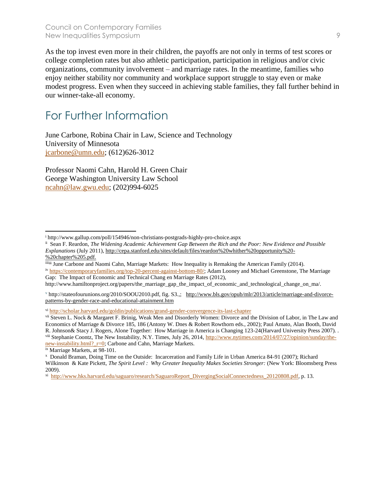As the top invest even more in their children, the payoffs are not only in terms of test scores or college completion rates but also athletic participation, participation in religious and/or civic organizations, community involvement – and marriage rates. In the meantime, families who enjoy neither stability nor community and workplace support struggle to stay even or make modest progress. Even when they succeed in achieving stable families, they fall further behind in our winner-take-all economy.

### For Further Information

June Carbone, Robina Chair in Law, Science and Technology University of Minnesota [jcarbone@umn.edu;](mailto:jcarbone@umn.edu) (612)626-3012

Professor Naomi Cahn, Harold H. Green Chair George Washington University Law School [ncahn@law.gwu.edu;](mailto:ncahn@law.gwu.edu) (202)994-6025

iv [https://contemporaryfamilies.org/top-20-percent-against-bottom-80/;](https://contemporaryfamilies.org/top-20-percent-against-bottom-80/) Adam Looney and Michael Greenstone, The Marriage Gap: The Impact of Economic and Technical Chang en Marriage Rates (2012),

<sup>v</sup> http://stateofourunions.org/2010/SOOU2010.pdf, fig. S3.,; [http://www.bls.gov/opub/mlr/2013/article/marriage-and-divorce](http://www.bls.gov/opub/mlr/2013/article/marriage-and-divorce-patterns-by-gender-race-and-educational-attainment.htm)[patterns-by-gender-race-and-educational-attainment.htm](http://www.bls.gov/opub/mlr/2013/article/marriage-and-divorce-patterns-by-gender-race-and-educational-attainment.htm)

ix Marriage Markets, at 98-101.

 $\overline{a}$ 

<sup>i</sup> http://www.gallup.com/poll/154946/non-christians-postgrads-highly-pro-choice.aspx

ii Sean F. Reardon, *The Widening Academic Achievement Gap Between the Rich and the Poor: New Evidence and Possible Explanations* (July 2011), [http://cepa.stanford.edu/sites/default/files/reardon%20whither%20opportunity%20-](http://cepa.stanford.edu/sites/default/files/reardon%20whither%20opportunity%20-%20chapter%205.pdf) [%20chapter%205.pdf.](http://cepa.stanford.edu/sites/default/files/reardon%20whither%20opportunity%20-%20chapter%205.pdf)

iiiiiii June Carbone and Naomi Cahn, Marriage Markets: How Inequality is Remaking the American Family (2014).

http://www.hamiltonproject.org/papers/the\_marriage\_gap\_the\_impact\_of\_economic\_and\_technological\_change\_on\_ma/.

vi <http://scholar.harvard.edu/goldin/publications/grand-gender-convergence-its-last-chapter>

vii Steven L. Nock & Margaret F. Brinig, Weak Men and Disorderly Women: Divorce and the Division of Labor, in The Law and Economics of Marriage & Divorce 185, 186 (Antony W. Dnes & Robert Rowthorn eds., 2002); Paul Amato, Alan Booth, David R. Johnson& Stacy J. Rogers, Alone Together: How Marriage in America is Changing 123-24(Harvard University Press 2007). . viii Stephanie Coontz, The New Instability, N.Y. Times, July 26, 2014, [http://www.nytimes.com/2014/07/27/opinion/sunday/the](http://www.nytimes.com/2014/07/27/opinion/sunday/the-new-instability.html?_r=0)new-instability.html? r=0; Carbone and Cahn, Marriage Markets.

x Donald Braman, Doing Time on the Outside: Incarceration and Family Life in Urban America 84-91 (2007); Richard Wilkinson & Kate Pickett, *The Spirit Level : Why Greater Inequality Makes Societies Stronger:* (New York: Bloomsberg Press 2009).

<sup>&</sup>lt;sup>xi</sup> [http://www.hks.harvard.edu/saguaro/research/SaguaroReport\\_DivergingSocialConnectedness\\_20120808.pdf,](http://www.hks.harvard.edu/saguaro/research/SaguaroReport_DivergingSocialConnectedness_20120808.pdf) p. 13.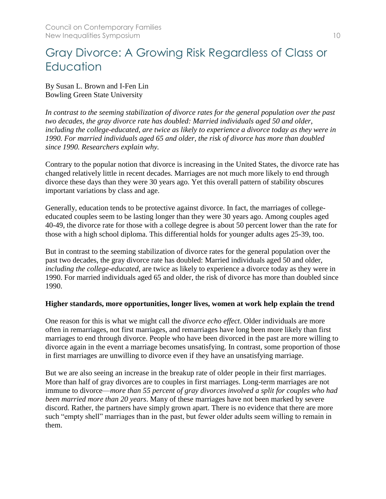## <span id="page-9-0"></span>Gray Divorce: A Growing Risk Regardless of Class or **Education**

By Susan L. Brown and I-Fen Lin Bowling Green State University

*In contrast to the seeming stabilization of divorce rates for the general population over the past two decades, the gray divorce rate has doubled: Married individuals aged 50 and older, including the college-educated, are twice as likely to experience a divorce today as they were in 1990. For married individuals aged 65 and older, the risk of divorce has more than doubled since 1990. Researchers explain why.*

Contrary to the popular notion that divorce is increasing in the United States, the divorce rate has changed relatively little in recent decades. Marriages are not much more likely to end through divorce these days than they were 30 years ago. Yet this overall pattern of stability obscures important variations by class and age.

Generally, education tends to be protective against divorce. In fact, the marriages of collegeeducated couples seem to be lasting longer than they were 30 years ago. Among couples aged 40-49, the divorce rate for those with a college degree is about 50 percent lower than the rate for those with a high school diploma. This differential holds for younger adults ages 25-39, too.

But in contrast to the seeming stabilization of divorce rates for the general population over the past two decades, the gray divorce rate has doubled: Married individuals aged 50 and older, *including the college-educated*, are twice as likely to experience a divorce today as they were in 1990. For married individuals aged 65 and older, the risk of divorce has more than doubled since 1990.

#### **Higher standards, more opportunities, longer lives, women at work help explain the trend**

One reason for this is what we might call the *divorce echo effect*. Older individuals are more often in remarriages, not first marriages, and remarriages have long been more likely than first marriages to end through divorce. People who have been divorced in the past are more willing to divorce again in the event a marriage becomes unsatisfying. In contrast, some proportion of those in first marriages are unwilling to divorce even if they have an unsatisfying marriage.

But we are also seeing an increase in the breakup rate of older people in their first marriages. More than half of gray divorces are to couples in first marriages. Long-term marriages are not immune to divorce—*more than 55 percent of gray divorces involved a split for couples who had been married more than 20 years*. Many of these marriages have not been marked by severe discord. Rather, the partners have simply grown apart. There is no evidence that there are more such "empty shell" marriages than in the past, but fewer older adults seem willing to remain in them.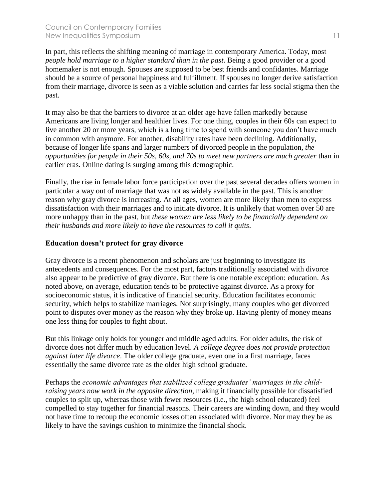In part, this reflects the shifting meaning of marriage in contemporary America. Today, most *people hold marriage to a higher standard than in the past*. Being a good provider or a good homemaker is not enough. Spouses are supposed to be best friends and confidantes. Marriage should be a source of personal happiness and fulfillment. If spouses no longer derive satisfaction from their marriage, divorce is seen as a viable solution and carries far less social stigma then the past.

It may also be that the barriers to divorce at an older age have fallen markedly because Americans are living longer and healthier lives. For one thing, couples in their 60s can expect to live another 20 or more years, which is a long time to spend with someone you don't have much in common with anymore. For another, disability rates have been declining. Additionally, because of longer life spans and larger numbers of divorced people in the population, *the opportunities for people in their 50s, 60s, and 70s to meet new partners are much greater* than in earlier eras. Online dating is surging among this demographic.

Finally, the rise in female labor force participation over the past several decades offers women in particular a way out of marriage that was not as widely available in the past. This is another reason why gray divorce is increasing. At all ages, women are more likely than men to express dissatisfaction with their marriages and to initiate divorce. It is unlikely that women over 50 are more unhappy than in the past, but *these women are less likely to be financially dependent on their husbands and more likely to have the resources to call it quits*.

#### **Education doesn't protect for gray divorce**

Gray divorce is a recent phenomenon and scholars are just beginning to investigate its antecedents and consequences. For the most part, factors traditionally associated with divorce also appear to be predictive of gray divorce. But there is one notable exception: education. As noted above, on average, education tends to be protective against divorce. As a proxy for socioeconomic status, it is indicative of financial security. Education facilitates economic security, which helps to stabilize marriages. Not surprisingly, many couples who get divorced point to disputes over money as the reason why they broke up. Having plenty of money means one less thing for couples to fight about.

But this linkage only holds for younger and middle aged adults. For older adults, the risk of divorce does not differ much by education level. *A college degree does not provide protection against later life divorce*. The older college graduate, even one in a first marriage, faces essentially the same divorce rate as the older high school graduate.

Perhaps the *economic advantages that stabilized college graduates' marriages in the childraising years now work in the opposite direction*, making it financially possible for dissatisfied couples to split up, whereas those with fewer resources (i.e., the high school educated) feel compelled to stay together for financial reasons. Their careers are winding down, and they would not have time to recoup the economic losses often associated with divorce. Nor may they be as likely to have the savings cushion to minimize the financial shock.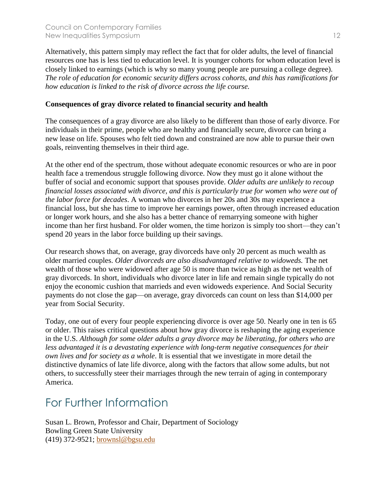Alternatively, this pattern simply may reflect the fact that for older adults, the level of financial resources one has is less tied to education level. It is younger cohorts for whom education level is closely linked to earnings (which is why so many young people are pursuing a college degree). *The role of education for economic security differs across cohorts, and this has ramifications for how education is linked to the risk of divorce across the life course.*

#### **Consequences of gray divorce related to financial security and health**

The consequences of a gray divorce are also likely to be different than those of early divorce. For individuals in their prime, people who are healthy and financially secure, divorce can bring a new lease on life. Spouses who felt tied down and constrained are now able to pursue their own goals, reinventing themselves in their third age.

At the other end of the spectrum, those without adequate economic resources or who are in poor health face a tremendous struggle following divorce. Now they must go it alone without the buffer of social and economic support that spouses provide. *Older adults are unlikely to recoup financial losses associated with divorce, and this is particularly true for women who were out of the labor force for decades*. A woman who divorces in her 20s and 30s may experience a financial loss, but she has time to improve her earnings power, often through increased education or longer work hours, and she also has a better chance of remarrying someone with higher income than her first husband. For older women, the time horizon is simply too short—they can't spend 20 years in the labor force building up their savings.

Our research shows that, on average, gray divorceds have only 20 percent as much wealth as older married couples. *Older divorceds are also disadvantaged relative to widoweds.* The net wealth of those who were widowed after age 50 is more than twice as high as the net wealth of gray divorceds. In short, individuals who divorce later in life and remain single typically do not enjoy the economic cushion that marrieds and even widoweds experience. And Social Security payments do not close the gap—on average, gray divorceds can count on less than \$14,000 per year from Social Security.

Today, one out of every four people experiencing divorce is over age 50. Nearly one in ten is 65 or older. This raises critical questions about how gray divorce is reshaping the aging experience in the U.S. *Although for some older adults a gray divorce may be liberating, for others who are less advantaged it is a devastating experience with long-term negative consequences for their own lives and for society as a whole*. It is essential that we investigate in more detail the distinctive dynamics of late life divorce, along with the factors that allow some adults, but not others, to successfully steer their marriages through the new terrain of aging in contemporary America.

### For Further Information

Susan L. Brown, Professor and Chair, Department of Sociology Bowling Green State University (419) 372-9521; [brownsl@bgsu.edu](mailto:brownsl@bgsu.edu)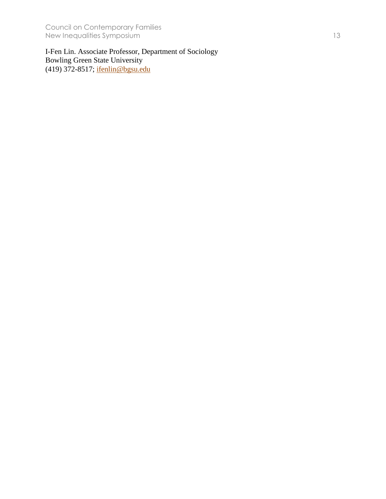Council on Contemporary Families New Inequalities Symposium 13

I-Fen Lin. Associate Professor, Department of Sociology Bowling Green State University (419) 372-8517; <u>ifenlin@bgsu.edu</u>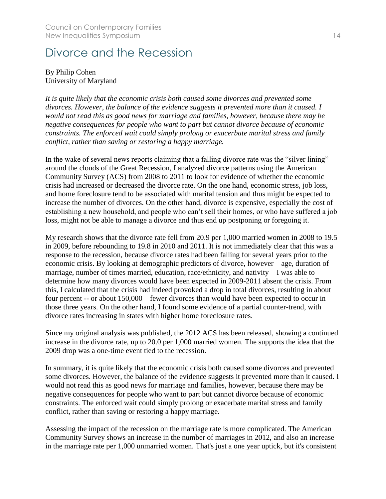### <span id="page-13-0"></span>Divorce and the Recession

#### By Philip Cohen University of Maryland

*It is quite likely that the economic crisis both caused some divorces and prevented some divorces. However, the balance of the evidence suggests it prevented more than it caused. I would not read this as good news for marriage and families, however, because there may be negative consequences for people who want to part but cannot divorce because of economic constraints. The enforced wait could simply prolong or exacerbate marital stress and family conflict, rather than saving or restoring a happy marriage.*

In the wake of several news reports claiming that a falling divorce rate was the "silver lining" around the clouds of the Great Recession, I analyzed divorce patterns using the American Community Survey (ACS) from 2008 to 2011 to look for evidence of whether the economic crisis had increased or decreased the divorce rate. On the one hand, economic stress, job loss, and home foreclosure tend to be associated with marital tension and thus might be expected to increase the number of divorces. On the other hand, divorce is expensive, especially the cost of establishing a new household, and people who can't sell their homes, or who have suffered a job loss, might not be able to manage a divorce and thus end up postponing or foregoing it.

My research shows that the divorce rate fell from 20.9 per 1,000 married women in 2008 to 19.5 in 2009, before rebounding to 19.8 in 2010 and 2011. It is not immediately clear that this was a response to the recession, because divorce rates had been falling for several years prior to the economic crisis. By looking at demographic predictors of divorce, however – age, duration of marriage, number of times married, education, race/ethnicity, and nativity – I was able to determine how many divorces would have been expected in 2009-2011 absent the crisis. From this, I calculated that the crisis had indeed provoked a drop in total divorces, resulting in about four percent -- or about 150,000 – fewer divorces than would have been expected to occur in those three years. On the other hand, I found some evidence of a partial counter-trend, with divorce rates increasing in states with higher home foreclosure rates.

Since my original analysis was published, the 2012 ACS has been released, showing a continued increase in the divorce rate, up to 20.0 per 1,000 married women. The supports the idea that the 2009 drop was a one-time event tied to the recession.

In summary, it is quite likely that the economic crisis both caused some divorces and prevented some divorces. However, the balance of the evidence suggests it prevented more than it caused. I would not read this as good news for marriage and families, however, because there may be negative consequences for people who want to part but cannot divorce because of economic constraints. The enforced wait could simply prolong or exacerbate marital stress and family conflict, rather than saving or restoring a happy marriage.

Assessing the impact of the recession on the marriage rate is more complicated. The American Community Survey shows an increase in the number of marriages in 2012, and also an increase in the marriage rate per 1,000 unmarried women. That's just a one year uptick, but it's consistent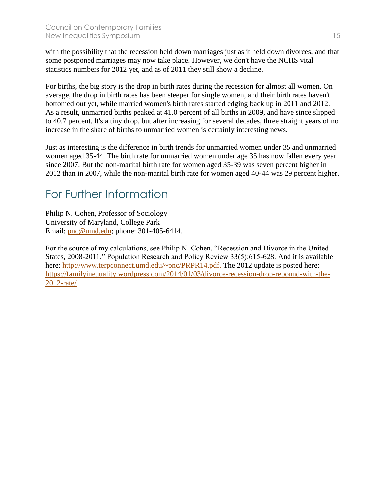with the possibility that the recession held down marriages just as it held down divorces, and that some postponed marriages may now take place. However, we don't have the NCHS vital statistics numbers for 2012 yet, and as of 2011 they still show a decline.

For births, the big story is the drop in birth rates during the recession for almost all women. On average, the drop in birth rates has been steeper for single women, and their birth rates haven't bottomed out yet, while married women's birth rates started edging back up in 2011 and 2012. As a result, unmarried births peaked at 41.0 percent of all births in 2009, and have since slipped to 40.7 percent. It's a tiny drop, but after increasing for several decades, three straight years of no increase in the share of births to unmarried women is certainly interesting news.

Just as interesting is the difference in birth trends for unmarried women under 35 and unmarried women aged 35-44. The birth rate for unmarried women under age 35 has now fallen every year since 2007. But the non-marital birth rate for women aged 35-39 was seven percent higher in 2012 than in 2007, while the non-marital birth rate for women aged 40-44 was 29 percent higher.

### For Further Information

Philip N. Cohen, Professor of Sociology University of Maryland, College Park Email: [pnc@umd.edu;](mailto:pnc@umd.edu) phone: 301-405-6414.

For the source of my calculations, see Philip N. Cohen. "Recession and Divorce in the United States, 2008-2011." Population Research and Policy Review 33(5):615-628. And it is available here: [http://www.terpconnect.umd.edu/~pnc/PRPR14.pdf.](http://www.terpconnect.umd.edu/~pnc/PRPR14.pdf.T) The 2012 update is posted here: [https://familyinequality.wordpress.com/2014/01/03/divorce-recession-drop-rebound-with-the-](https://familyinequality.wordpress.com/2014/01/03/divorce-recession-drop-rebound-with-the-2012-rate/)[2012-rate/](https://familyinequality.wordpress.com/2014/01/03/divorce-recession-drop-rebound-with-the-2012-rate/)